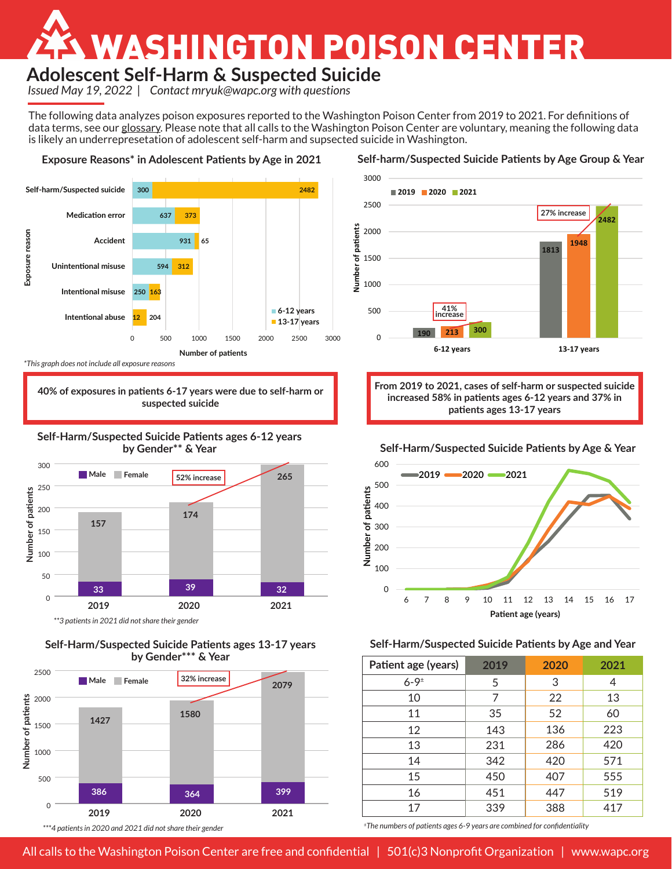# WASHINGTON POISON CENTER

# **Adolescent Self-Harm & Suspected Suicide**

*Issued May 19, 2022* | *Contact mryuk@wapc.org with questions*

The following data analyzes poison exposures reported to the Washington Poison Center from 2019 to 2021. For definitions of data terms, see our [glossary.](https://www.wapc.org/data/term-glossary/) Please note that all calls to the Washington Poison Center are voluntary, meaning the following data is likely an underrepresetation of adolescent self-harm and supsected suicide in Washington.



*\*This graph does not include all exposure reasons*

**40% of exposures in patients 6-17 years were due to self-harm or suspected suicide**





**Self-Harm/Suspected Suicide Patients ages 13-17 years by Gender\*\*\* & Year**





**Self-harm/Suspected Suicide Patients by Age Group & Year**

**From 2019 to 2021, cases of self-harm or suspected suicide increased 58% in patients ages 6-12 years and 37% in patients ages 13-17 years**

## **Self-Harm/Suspected Suicide Patients by Age & Year**



## **Self-Harm/Suspected Suicide Patients by Age and Year**

| Patient age (years) | 2019 | 2020 | 2021 |
|---------------------|------|------|------|
| $6 - 9 =$           | 5    | 3    | 4    |
| 10                  | 7    | 22   | 13   |
| 11                  | 35   | 52   | 60   |
| 12                  | 143  | 136  | 223  |
| 13                  | 231  | 286  | 420  |
| 14                  | 342  | 420  | 571  |
| 15                  | 450  | 407  | 555  |
| 16                  | 451  | 447  | 519  |
| 17                  | 339  | 388  | 417  |

<sup>±</sup>*The numbers of patients ages 6-9 years are combined for confidentiality*